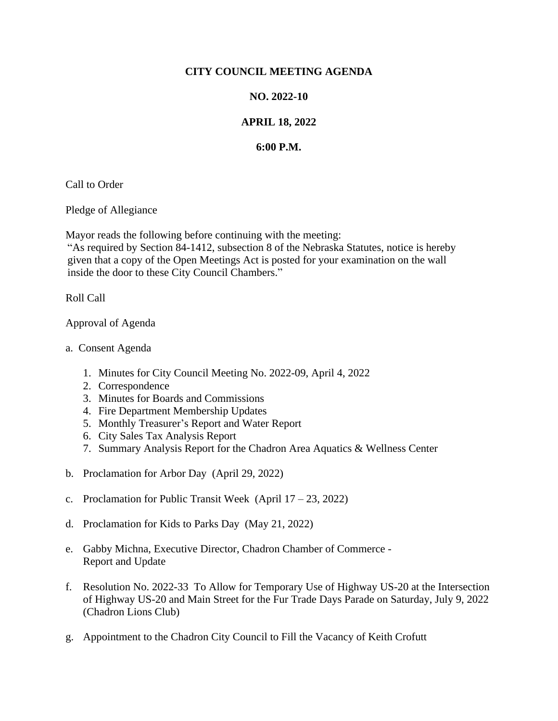## **CITY COUNCIL MEETING AGENDA**

## **NO. 2022-10**

## **APRIL 18, 2022**

## **6:00 P.M.**

Call to Order

Pledge of Allegiance

Mayor reads the following before continuing with the meeting:

"As required by Section 84-1412, subsection 8 of the Nebraska Statutes, notice is hereby given that a copy of the Open Meetings Act is posted for your examination on the wall inside the door to these City Council Chambers."

Roll Call

Approval of Agenda

- a. Consent Agenda
	- 1. Minutes for City Council Meeting No. 2022-09, April 4, 2022
	- 2. Correspondence
	- 3. Minutes for Boards and Commissions
	- 4. Fire Department Membership Updates
	- 5. Monthly Treasurer's Report and Water Report
	- 6. City Sales Tax Analysis Report
	- 7. Summary Analysis Report for the Chadron Area Aquatics & Wellness Center
- b. Proclamation for Arbor Day (April 29, 2022)
- c. Proclamation for Public Transit Week (April 17 23, 2022)
- d. Proclamation for Kids to Parks Day (May 21, 2022)
- e. Gabby Michna, Executive Director, Chadron Chamber of Commerce Report and Update
- f. Resolution No. 2022-33 To Allow for Temporary Use of Highway US-20 at the Intersection of Highway US-20 and Main Street for the Fur Trade Days Parade on Saturday, July 9, 2022 (Chadron Lions Club)
- g. Appointment to the Chadron City Council to Fill the Vacancy of Keith Crofutt